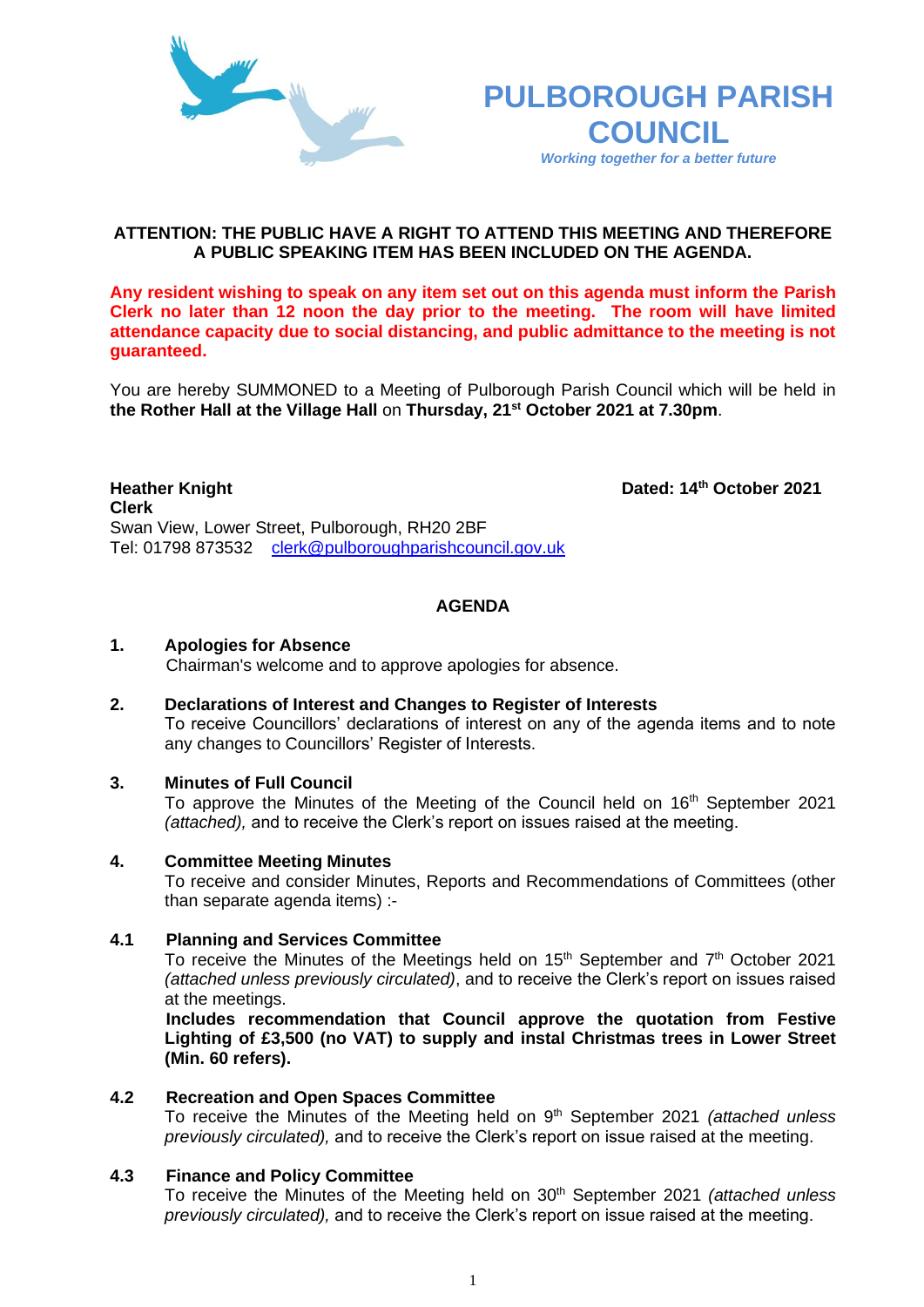



## **ATTENTION: THE PUBLIC HAVE A RIGHT TO ATTEND THIS MEETING AND THEREFORE A PUBLIC SPEAKING ITEM HAS BEEN INCLUDED ON THE AGENDA.**

**Any resident wishing to speak on any item set out on this agenda must inform the Parish Clerk no later than 12 noon the day prior to the meeting. The room will have limited attendance capacity due to social distancing, and public admittance to the meeting is not guaranteed.**

You are hereby SUMMONED to a Meeting of Pulborough Parish Council which will be held in **the Rother Hall at the Village Hall** on **Thursday, 21st October 2021 at 7.30pm**.

**Heather Knight Dated: 14<sup>th</sup> October 2021 Clerk**  Swan View, Lower Street, Pulborough, RH20 2BF Tel: 01798 873532 [clerk@pulboroughparishcouncil.gov.uk](mailto:clerk@pulboroughparishcouncil.gov.uk)

## **AGENDA**

#### **1. Apologies for Absence**

Chairman's welcome and to approve apologies for absence.

**2. Declarations of Interest and Changes to Register of Interests** To receive Councillors' declarations of interest on any of the agenda items and to note any changes to Councillors' Register of Interests.

# **3. Minutes of Full Council**

To approve the Minutes of the Meeting of the Council held on 16<sup>th</sup> September 2021 *(attached),* and to receive the Clerk's report on issues raised at the meeting.

### **4. Committee Meeting Minutes**

To receive and consider Minutes, Reports and Recommendations of Committees (other than separate agenda items) :-

#### **4.1 Planning and Services Committee**

To receive the Minutes of the Meetings held on  $15<sup>th</sup>$  September and  $7<sup>th</sup>$  October 2021 *(attached unless previously circulated)*, and to receive the Clerk's report on issues raised at the meetings.

**Includes recommendation that Council approve the quotation from Festive Lighting of £3,500 (no VAT) to supply and instal Christmas trees in Lower Street (Min. 60 refers).**

#### **4.2 Recreation and Open Spaces Committee**

To receive the Minutes of the Meeting held on 9 th September 2021 *(attached unless previously circulated),* and to receive the Clerk's report on issue raised at the meeting.

#### **4.3 Finance and Policy Committee**

To receive the Minutes of the Meeting held on 30th September 2021 *(attached unless previously circulated),* and to receive the Clerk's report on issue raised at the meeting.